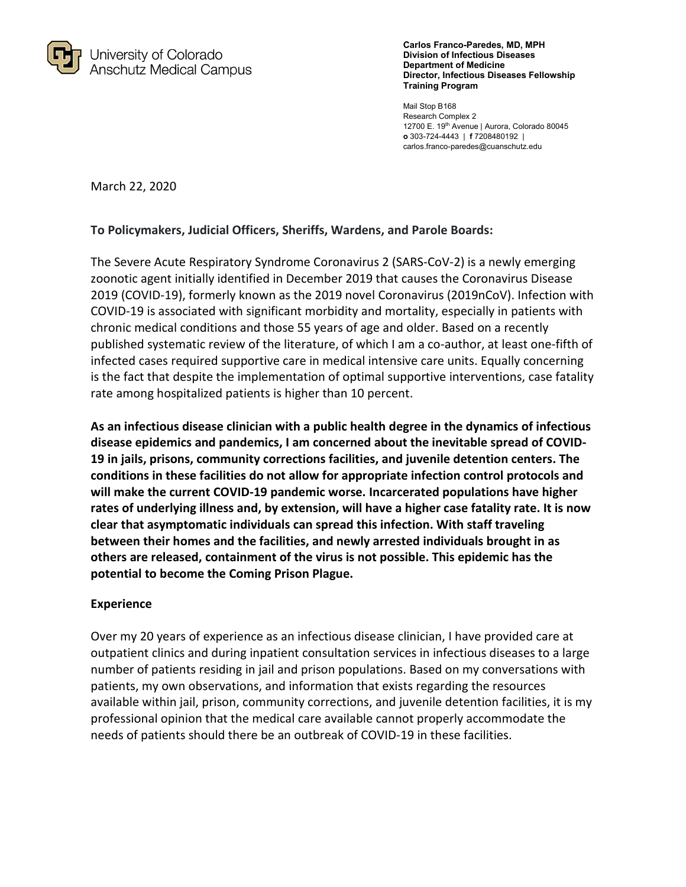

**Carlos Franco-Paredes, MD, MPH Division of Infectious Diseases Department of Medicine Director, Infectious Diseases Fellowship Training Program** 

Mail Stop B168 Research Complex 2 12700 E. 19<sup>th</sup> Avenue | Aurora, Colorado 80045 **o** 303-724-4443 | **f** 7208480192 | carlos.franco-paredes@cuanschutz.edu

March 22, 2020

#### **To Policymakers, Judicial Officers, Sheriffs, Wardens, and Parole Boards:**

The Severe Acute Respiratory Syndrome Coronavirus 2 (SARS-CoV-2) is a newly emerging zoonotic agent initially identified in December 2019 that causes the Coronavirus Disease 2019 (COVID-19), formerly known as the 2019 novel Coronavirus (2019nCoV). Infection with COVID-19 is associated with significant morbidity and mortality, especially in patients with chronic medical conditions and those 55 years of age and older. Based on a recently published systematic review of the literature, of which I am a co-author, at least one-fifth of infected cases required supportive care in medical intensive care units. Equally concerning is the fact that despite the implementation of optimal supportive interventions, case fatality rate among hospitalized patients is higher than 10 percent.

**As an infectious disease clinician with a public health degree in the dynamics of infectious disease epidemics and pandemics, I am concerned about the inevitable spread of COVID-19 in jails, prisons, community corrections facilities, and juvenile detention centers. The conditions in these facilities do not allow for appropriate infection control protocols and will make the current COVID-19 pandemic worse. Incarcerated populations have higher rates of underlying illness and, by extension, will have a higher case fatality rate. It is now clear that asymptomatic individuals can spread this infection. With staff traveling between their homes and the facilities, and newly arrested individuals brought in as others are released, containment of the virus is not possible. This epidemic has the potential to become the Coming Prison Plague.** 

#### **Experience**

Over my 20 years of experience as an infectious disease clinician, I have provided care at outpatient clinics and during inpatient consultation services in infectious diseases to a large number of patients residing in jail and prison populations. Based on my conversations with patients, my own observations, and information that exists regarding the resources available within jail, prison, community corrections, and juvenile detention facilities, it is my professional opinion that the medical care available cannot properly accommodate the needs of patients should there be an outbreak of COVID-19 in these facilities.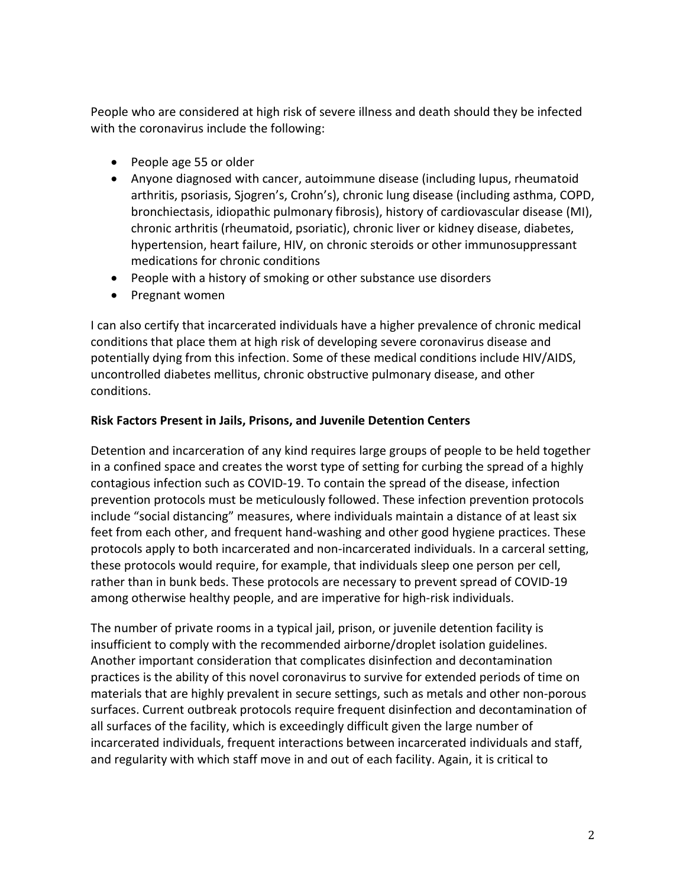People who are considered at high risk of severe illness and death should they be infected with the coronavirus include the following:

- People age 55 or older
- Anyone diagnosed with cancer, autoimmune disease (including lupus, rheumatoid arthritis, psoriasis, Sjogren's, Crohn's), chronic lung disease (including asthma, COPD, bronchiectasis, idiopathic pulmonary fibrosis), history of cardiovascular disease (MI), chronic arthritis (rheumatoid, psoriatic), chronic liver or kidney disease, diabetes, hypertension, heart failure, HIV, on chronic steroids or other immunosuppressant medications for chronic conditions
- People with a history of smoking or other substance use disorders
- Pregnant women

I can also certify that incarcerated individuals have a higher prevalence of chronic medical conditions that place them at high risk of developing severe coronavirus disease and potentially dying from this infection. Some of these medical conditions include HIV/AIDS, uncontrolled diabetes mellitus, chronic obstructive pulmonary disease, and other conditions.

# **Risk Factors Present in Jails, Prisons, and Juvenile Detention Centers**

Detention and incarceration of any kind requires large groups of people to be held together in a confined space and creates the worst type of setting for curbing the spread of a highly contagious infection such as COVID-19. To contain the spread of the disease, infection prevention protocols must be meticulously followed. These infection prevention protocols include "social distancing" measures, where individuals maintain a distance of at least six feet from each other, and frequent hand-washing and other good hygiene practices. These protocols apply to both incarcerated and non-incarcerated individuals. In a carceral setting, these protocols would require, for example, that individuals sleep one person per cell, rather than in bunk beds. These protocols are necessary to prevent spread of COVID-19 among otherwise healthy people, and are imperative for high-risk individuals.

The number of private rooms in a typical jail, prison, or juvenile detention facility is insufficient to comply with the recommended airborne/droplet isolation guidelines. Another important consideration that complicates disinfection and decontamination practices is the ability of this novel coronavirus to survive for extended periods of time on materials that are highly prevalent in secure settings, such as metals and other non-porous surfaces. Current outbreak protocols require frequent disinfection and decontamination of all surfaces of the facility, which is exceedingly difficult given the large number of incarcerated individuals, frequent interactions between incarcerated individuals and staff, and regularity with which staff move in and out of each facility. Again, it is critical to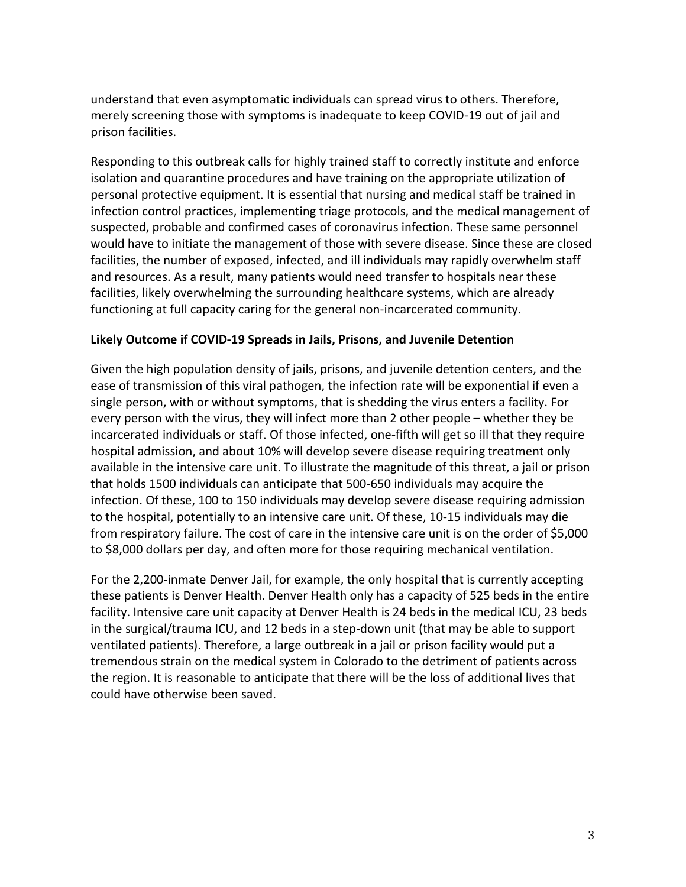understand that even asymptomatic individuals can spread virus to others. Therefore, merely screening those with symptoms is inadequate to keep COVID-19 out of jail and prison facilities.

Responding to this outbreak calls for highly trained staff to correctly institute and enforce isolation and quarantine procedures and have training on the appropriate utilization of personal protective equipment. It is essential that nursing and medical staff be trained in infection control practices, implementing triage protocols, and the medical management of suspected, probable and confirmed cases of coronavirus infection. These same personnel would have to initiate the management of those with severe disease. Since these are closed facilities, the number of exposed, infected, and ill individuals may rapidly overwhelm staff and resources. As a result, many patients would need transfer to hospitals near these facilities, likely overwhelming the surrounding healthcare systems, which are already functioning at full capacity caring for the general non-incarcerated community.

## **Likely Outcome if COVID-19 Spreads in Jails, Prisons, and Juvenile Detention**

Given the high population density of jails, prisons, and juvenile detention centers, and the ease of transmission of this viral pathogen, the infection rate will be exponential if even a single person, with or without symptoms, that is shedding the virus enters a facility. For every person with the virus, they will infect more than 2 other people – whether they be incarcerated individuals or staff. Of those infected, one-fifth will get so ill that they require hospital admission, and about 10% will develop severe disease requiring treatment only available in the intensive care unit. To illustrate the magnitude of this threat, a jail or prison that holds 1500 individuals can anticipate that 500-650 individuals may acquire the infection. Of these, 100 to 150 individuals may develop severe disease requiring admission to the hospital, potentially to an intensive care unit. Of these, 10-15 individuals may die from respiratory failure. The cost of care in the intensive care unit is on the order of \$5,000 to \$8,000 dollars per day, and often more for those requiring mechanical ventilation.

For the 2,200-inmate Denver Jail, for example, the only hospital that is currently accepting these patients is Denver Health. Denver Health only has a capacity of 525 beds in the entire facility. Intensive care unit capacity at Denver Health is 24 beds in the medical ICU, 23 beds in the surgical/trauma ICU, and 12 beds in a step-down unit (that may be able to support ventilated patients). Therefore, a large outbreak in a jail or prison facility would put a tremendous strain on the medical system in Colorado to the detriment of patients across the region. It is reasonable to anticipate that there will be the loss of additional lives that could have otherwise been saved.